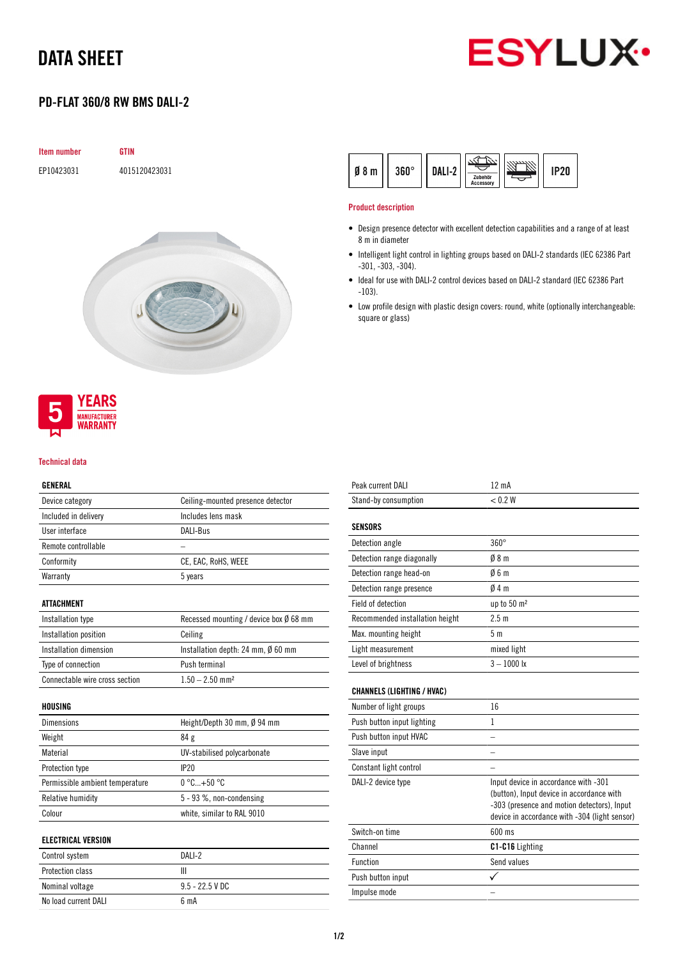# DATA SHEET



# PD-FLAT 360/8 RW BMS DALI-2

| Item number | <b>GTIN</b>   |
|-------------|---------------|
| EP10423031  | 4015120423031 |
|             |               |
|             |               |
|             |               |
|             |               |
|             |               |
|             |               |
|             |               |
|             |               |
|             |               |
|             |               |
|             |               |
|             |               |
|             |               |



#### Technical data

## GENERAL

| ,,,,,,,,,,           |                                   |
|----------------------|-----------------------------------|
| Device category      | Ceiling-mounted presence detector |
| Included in delivery | Includes lens mask                |
| User interface       | DALI-Bus                          |
| Remote controllable  |                                   |
| Conformity           | CE, EAC, RoHS, WEEE               |
| Warranty             | 5 years                           |
|                      |                                   |

### ATTACHMENT

| Installation type              | Recessed mounting / device box $\emptyset$ 68 mm |
|--------------------------------|--------------------------------------------------|
| Installation position          | Ceiling                                          |
| Installation dimension         | Installation depth: 24 mm, Ø 60 mm               |
| Type of connection             | Push terminal                                    |
| Connectable wire cross section | $1.50 - 2.50$ mm <sup>2</sup>                    |

#### HOUSING

| <b>Dimensions</b>               | Height/Depth 30 mm, $\emptyset$ 94 mm |
|---------------------------------|---------------------------------------|
| Weight                          | 84 g                                  |
| Material                        | UV-stabilised polycarbonate           |
| Protection type                 | IP <sub>20</sub>                      |
| Permissible ambient temperature | $0^{\circ}$ C+50 $^{\circ}$ C         |
| Relative humidity               | $5 - 93$ %, non-condensing            |
| Colour                          | white, similar to RAL 9010            |

#### ELECTRICAL VERSION

| Control system       | DAI $L2$          |
|----------------------|-------------------|
| Protection class     |                   |
| Nominal voltage      | $9.5 - 22.5$ V DC |
| No load current DALI | 6 <sub>m</sub> A  |

| rn∘<br>Ø<br>ŋ<br>.,<br>m | <b>Accessory</b> | 2Π |
|--------------------------|------------------|----|
|--------------------------|------------------|----|

#### Product description

- Design presence detector with excellent detection capabilities and a range of at least 8 m in diameter
- Intelligent light control in lighting groups based on DALI-2 standards (IEC 62386 Part -301, -303, -304).
- Ideal for use with DALI-2 control devices based on DALI-2 standard (IEC 62386 Part -103).
- Low profile design with plastic design covers: round, white (optionally interchangeable: square or glass)

| Peak current DALI                 | 12 mA                                                                                                                                                                             |
|-----------------------------------|-----------------------------------------------------------------------------------------------------------------------------------------------------------------------------------|
| Stand-by consumption              | < 0.2 W                                                                                                                                                                           |
|                                   |                                                                                                                                                                                   |
| <b>SENSORS</b>                    |                                                                                                                                                                                   |
| Detection angle                   | $360^\circ$                                                                                                                                                                       |
| Detection range diagonally        | 08 <sub>m</sub>                                                                                                                                                                   |
| Detection range head-on           | 06m                                                                                                                                                                               |
| Detection range presence          | $0/4$ m                                                                                                                                                                           |
| Field of detection                | up to 50 m <sup>2</sup>                                                                                                                                                           |
| Recommended installation height   | 2.5 <sub>m</sub>                                                                                                                                                                  |
| Max. mounting height              | 5 <sub>m</sub>                                                                                                                                                                    |
| Light measurement                 | mixed light                                                                                                                                                                       |
| Level of brightness               | $3 - 1000$ lx                                                                                                                                                                     |
|                                   |                                                                                                                                                                                   |
| <b>CHANNELS (LIGHTING / HVAC)</b> |                                                                                                                                                                                   |
| Number of light groups            | 16                                                                                                                                                                                |
| Push button input lighting        | 1                                                                                                                                                                                 |
| Push button input HVAC            |                                                                                                                                                                                   |
| Slave input                       |                                                                                                                                                                                   |
| Constant light control            |                                                                                                                                                                                   |
| DALI-2 device type                | Input device in accordance with -301<br>(button), Input device in accordance with<br>-303 (presence and motion detectors), Input<br>device in accordance with -304 (light sensor) |
| Switch-on time                    | 600 ms                                                                                                                                                                            |
| Channel                           | C1-C16 Lighting                                                                                                                                                                   |
| Function                          | Send values                                                                                                                                                                       |
| Push button input                 |                                                                                                                                                                                   |
| Impulse mode                      |                                                                                                                                                                                   |
|                                   |                                                                                                                                                                                   |